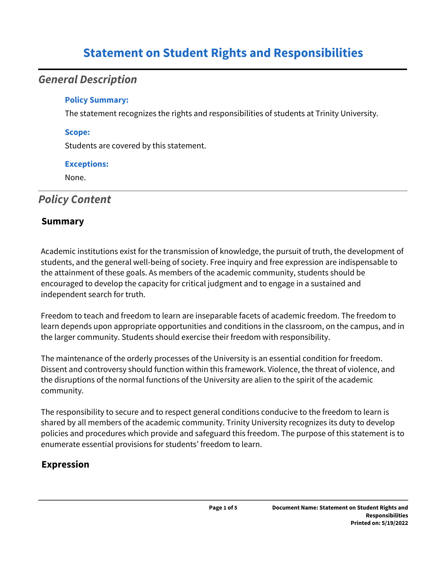# **Statement on Student Rights and Responsibilities**

## *General Description*

### **Policy Summary:**

The statement recognizes the rights and responsibilities of students at Trinity University.

#### **Scope:**

Students are covered by this statement.

### **Exceptions:**

None.

## *Policy Content*

## **Summary**

Academic institutions exist for the transmission of knowledge, the pursuit of truth, the development of students, and the general well-being of society. Free inquiry and free expression are indispensable to the attainment of these goals. As members of the academic community, students should be encouraged to develop the capacity for critical judgment and to engage in a sustained and independent search for truth.

Freedom to teach and freedom to learn are inseparable facets of academic freedom. The freedom to learn depends upon appropriate opportunities and conditions in the classroom, on the campus, and in the larger community. Students should exercise their freedom with responsibility.

The maintenance of the orderly processes of the University is an essential condition for freedom. Dissent and controversy should function within this framework. Violence, the threat of violence, and the disruptions of the normal functions of the University are alien to the spirit of the academic community.

The responsibility to secure and to respect general conditions conducive to the freedom to learn is shared by all members of the academic community. Trinity University recognizes its duty to develop policies and procedures which provide and safeguard this freedom. The purpose of this statement is to enumerate essential provisions for students' freedom to learn.

## **Expression**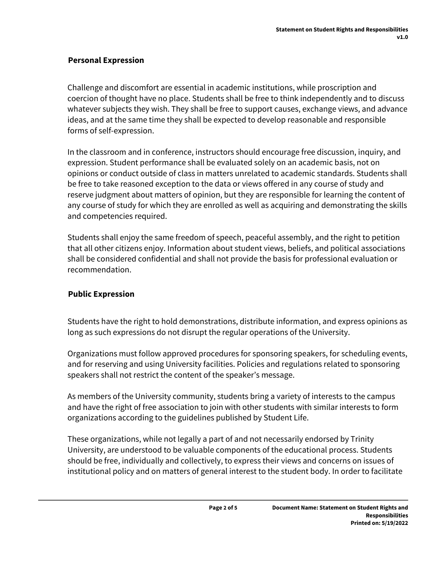## **Personal Expression**

Challenge and discomfort are essential in academic institutions, while proscription and coercion of thought have no place. Students shall be free to think independently and to discuss whatever subjects they wish. They shall be free to support causes, exchange views, and advance ideas, and at the same time they shall be expected to develop reasonable and responsible forms of self-expression.

In the classroom and in conference, instructors should encourage free discussion, inquiry, and expression. Student performance shall be evaluated solely on an academic basis, not on opinions or conduct outside of class in matters unrelated to academic standards. Students shall be free to take reasoned exception to the data or views offered in any course of study and reserve judgment about matters of opinion, but they are responsible for learning the content of any course of study for which they are enrolled as well as acquiring and demonstrating the skills and competencies required.

Students shall enjoy the same freedom of speech, peaceful assembly, and the right to petition that all other citizens enjoy. Information about student views, beliefs, and political associations shall be considered confidential and shall not provide the basis for professional evaluation or recommendation.

### **Public Expression**

Students have the right to hold demonstrations, distribute information, and express opinions as long as such expressions do not disrupt the regular operations of the University.

Organizations must follow approved procedures for sponsoring speakers, for scheduling events, and for reserving and using University facilities. Policies and regulations related to sponsoring speakers shall not restrict the content of the speaker's message.

As members of the University community, students bring a variety of interests to the campus and have the right of free association to join with other students with similar interests to form organizations according to the guidelines published by Student Life.

These organizations, while not legally a part of and not necessarily endorsed by Trinity University, are understood to be valuable components of the educational process. Students should be free, individually and collectively, to express their views and concerns on issues of institutional policy and on matters of general interest to the student body. In order to facilitate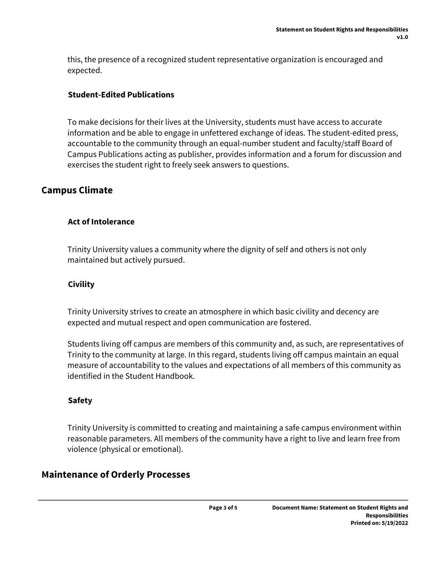this, the presence of a recognized student representative organization is encouraged and expected.

## **Student-Edited Publications**

To make decisions for their lives at the University, students must have access to accurate information and be able to engage in unfettered exchange of ideas. The student-edited press, accountable to the community through an equal-number student and faculty/staff Board of Campus Publications acting as publisher, provides information and a forum for discussion and exercises the student right to freely seek answers to questions.

## **Campus Climate**

## **Act of Intolerance**

Trinity University values a community where the dignity of self and others is not only maintained but actively pursued.

## **Civility**

Trinity University strives to create an atmosphere in which basic civility and decency are expected and mutual respect and open communication are fostered.

Students living off campus are members of this community and, as such, are representatives of Trinity to the community at large. In this regard, students living off campus maintain an equal measure of accountability to the values and expectations of all members of this community as identified in the Student Handbook.

### **Safety**

Trinity University is committed to creating and maintaining a safe campus environment within reasonable parameters. All members of the community have a right to live and learn free from violence (physical or emotional).

## **Maintenance of Orderly Processes**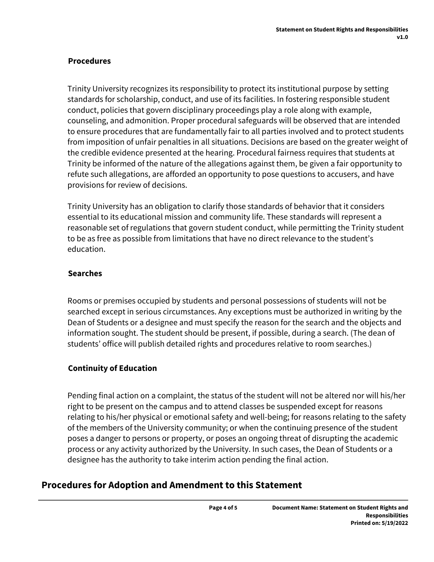## **Procedures**

Trinity University recognizes its responsibility to protect its institutional purpose by setting standards for scholarship, conduct, and use of its facilities. In fostering responsible student conduct, policies that govern disciplinary proceedings play a role along with example, counseling, and admonition. Proper procedural safeguards will be observed that are intended to ensure procedures that are fundamentally fair to all parties involved and to protect students from imposition of unfair penalties in all situations. Decisions are based on the greater weight of the credible evidence presented at the hearing. Procedural fairness requires that students at Trinity be informed of the nature of the allegations against them, be given a fair opportunity to refute such allegations, are afforded an opportunity to pose questions to accusers, and have provisions for review of decisions.

Trinity University has an obligation to clarify those standards of behavior that it considers essential to its educational mission and community life. These standards will represent a reasonable set of regulations that govern student conduct, while permitting the Trinity student to be as free as possible from limitations that have no direct relevance to the student's education.

## **Searches**

Rooms or premises occupied by students and personal possessions of students will not be searched except in serious circumstances. Any exceptions must be authorized in writing by the Dean of Students or a designee and must specify the reason for the search and the objects and information sought. The student should be present, if possible, during a search. (The dean of students' office will publish detailed rights and procedures relative to room searches.)

## **Continuity of Education**

Pending final action on a complaint, the status of the student will not be altered nor will his/her right to be present on the campus and to attend classes be suspended except for reasons relating to his/her physical or emotional safety and well-being; for reasons relating to the safety of the members of the University community; or when the continuing presence of the student poses a danger to persons or property, or poses an ongoing threat of disrupting the academic process or any activity authorized by the University. In such cases, the Dean of Students or a designee has the authority to take interim action pending the final action.

## **Procedures for Adoption and Amendment to this Statement**